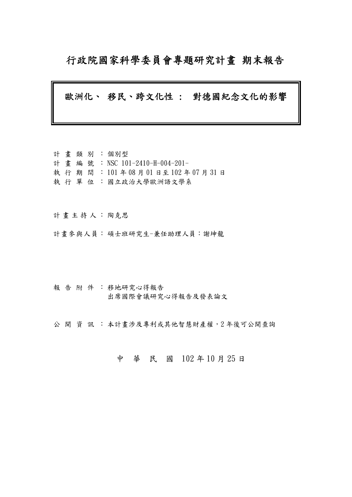## 行政院國家科學委員會專題研究計畫 期末報告

## 歐洲化、 移民、跨文化性 : 對德國紀念文化的影響

計 畫 類 別 : 個別型 計畫編號: NSC 101-2410-H-004-201- 執 行 期 間 : 101 年 08 月 01 日至 102 年 07 月 31 日 執 行 單 位 :國立政治大學歐洲語文學系

計畫主持人: 陶克思

計畫參與人員: 碩士班研究生-兼任助理人員:謝坤龍

報告附件: 移地研究心得報告 出席國際會議研究心得報告及發表論文

公開 資訊 : 本計畫涉及專利或其他智慧財產權,2年後可公開查詢

## 中 華 民 國 102 年 10 月 25 日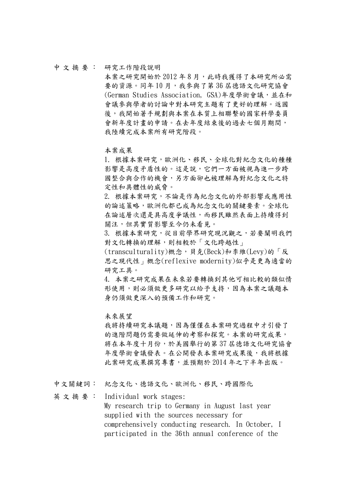#### 中 文 摘 要 : 研究工作階段說明

本案之研究開始於 2012年8月,此時我獲得了本研究所必需 要的資源。同年10月,我參與了第36 屆德語文化研究協會 (German Studies Association, GSA)年度學術會議,並在和 會議參與學者的討論中對本研究主題有了更好的理解。返國 後,我開始著手規劃與本案在本質上相聯繫的國家科學委員 會新年度計畫的申請。在去年度結束後的過去七個月期間, 我陸續完成本案所有研究階段。

本案成果

1. 根據本案研究,歐洲化、移民、全球化對紀念文化的種種 影響是高度矛盾性的。這是說,它們一方面被視為進一步跨 國整合與合作的機會,另方面卻也被理解為對紀念文化之特 定性和具體性的威脅。

2. 根據本案研究,不論是作為紀念文化的外部影響或應用性 的論述策略,歐洲化都已成為紀念文化的關鍵要素。全球化 在論述層次還是具高度爭議性,而移民雖然表面上持續得到 關注,但其實質影響至今仍未看見。

3. 根據本案研究,從目前學界研究現況觀之,若要闡明我們 對文化轉換的理解,則相較於「文化跨越性」

(transculturality)概念,貝克(Beck)和李維(Levy)的「反 思之現代性」概念(reflexive modernity)似乎是更為適當的 研究工具。

4. 本案之研究成果在未來若要轉換到其他可相比較的類似情 形使用,則必須做更多研究以給予支持,因為本案之議題本 身仍須做更深入的預備工作和研究。

未來展望

我將持續研究本議題,因為僅僅在本案研究過程中才引發了 的進階問題仍需要做延伸的考察和探究。本案的研究成果, 將在本年度十月份,於美國舉行的第 37 屆德語文化研究協會 年度學術會議發表。在公開發表本案研究成果後,我將根據 此案研究成果撰寫專書,並預期於 2014 年之下半年出版。

中文關鍵詞: 紀念文化、德語文化、歐洲化、移民、跨國際化

英 文 摘 要 : Individual work stages: My research trip to Germany in August last year supplied with the sources necessary for comprehensively conducting research. In October, I participated in the 36th annual conference of the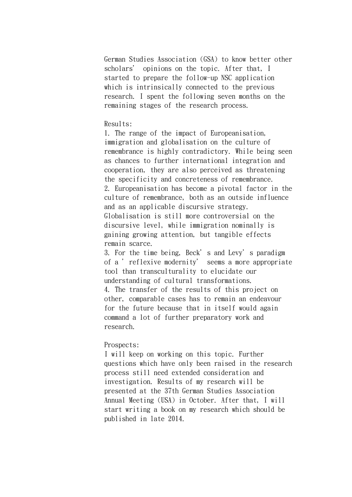German Studies Association (GSA) to know better other scholars' opinions on the topic. After that, I started to prepare the follow-up NSC application which is intrinsically connected to the previous research. I spent the following seven months on the remaining stages of the research process.

## Results:

1. The range of the impact of Europeanisation, immigration and globalisation on the culture of remembrance is highly contradictory. While being seen as chances to further international integration and cooperation, they are also perceived as threatening the specificity and concreteness of remembrance. 2. Europeanisation has become a pivotal factor in the culture of remembrance, both as an outside influence and as an applicable discursive strategy. Globalisation is still more controversial on the discursive level, while immigration nominally is gaining growing attention, but tangible effects remain scarce.

3. For the time being, Beck's and Levy's paradigm of a 'reflexive modernity' seems a more appropriate tool than transculturality to elucidate our understanding of cultural transformations. 4. The transfer of the results of this project on other, comparable cases has to remain an endeavour for the future because that in itself would again command a lot of further preparatory work and research.

## Prospects:

I will keep on working on this topic. Further questions which have only been raised in the research process still need extended consideration and investigation. Results of my research will be presented at the 37th German Studies Association Annual Meeting (USA) in October. After that, I will start writing a book on my research which should be published in late 2014.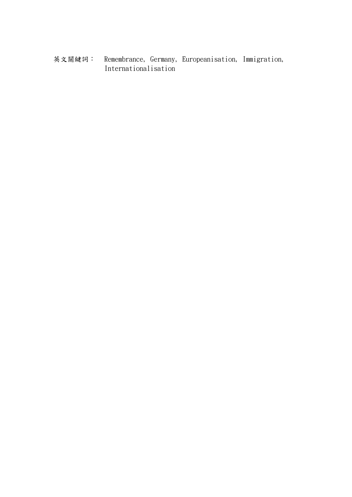英文關鍵詞: Remembrance, Germany, Europeanisation, Immigration, Internationalisation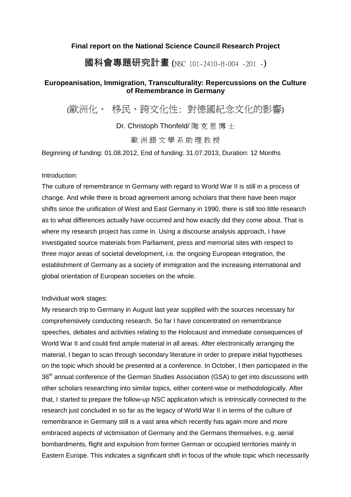## **Final report on the National Science Council Research Project**

## 國科會專題研究計畫 (NSC 101-2410-H-004 -201 -)

## **Europeanisation, Immigration, Transculturality: Repercussions on the Culture of Remembrance in Germany**

(歐洲化、 移民、跨文化性: 對德國紀念文化的影響)

Dr. Christoph Thonfeld/ 陶 克 思 博 士

歐 洲 語 文 學 系 助 理 教 授

Beginning of funding: 01.08.2012, End of funding: 31.07.2013, Duration: 12 Months

Introduction:

The culture of remembrance in Germany with regard to World War II is still in a process of change. And while there is broad agreement among scholars that there have been major shifts since the unification of West and East Germany in 1990, there is still too little research as to what differences actually have occurred and how exactly did they come about. That is where my research project has come in. Using a discourse analysis approach, I have investigated source materials from Parliament, press and memorial sites with respect to three major areas of societal development, i.e. the ongoing European integration, the establishment of Germany as a society of immigration and the increasing international and global orientation of European societies on the whole.

Individual work stages:

My research trip to Germany in August last year supplied with the sources necessary for comprehensively conducting research. So far I have concentrated on remembrance speeches, debates and activities relating to the Holocaust and immediate consequences of World War II and could find ample material in all areas. After electronically arranging the material, I began to scan through secondary literature in order to prepare initial hypotheses on the topic which should be presented at a conference. In October, I then participated in the 36<sup>th</sup> annual conference of the German Studies Association (GSA) to get into discussions with other scholars researching into similar topics, either content-wise or methodologically. After that, I started to prepare the follow-up NSC application which is intrinsically connected to the research just concluded in so far as the legacy of World War II in terms of the culture of remembrance in Germany still is a vast area which recently has again more and more embraced aspects of victimisation of Germany and the Germans themselves, e.g. aerial bombardments, flight and expulsion from former German or occupied territories mainly in Eastern Europe. This indicates a significant shift in focus of the whole topic which necessarily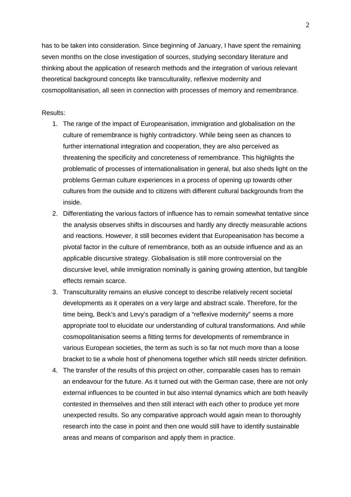has to be taken into consideration. Since beginning of January, I have spent the remaining seven months on the close investigation of sources, studying secondary literature and thinking about the application of research methods and the integration of various relevant theoretical background concepts like transculturality, reflexive modernity and cosmopolitanisation, all seen in connection with processes of memory and remembrance.

## Results:

- 1. The range of the impact of Europeanisation, immigration and globalisation on the culture of remembrance is highly contradictory. While being seen as chances to further international integration and cooperation, they are also perceived as threatening the specificity and concreteness of remembrance. This highlights the problematic of processes of internationalisation in general, but also sheds light on the problems German culture experiences in a process of opening up towards other cultures from the outside and to citizens with different cultural backgrounds from the inside.
- 2. Differentiating the various factors of influence has to remain somewhat tentative since the analysis observes shifts in discourses and hardly any directly measurable actions and reactions. However, it still becomes evident that Europeanisation has become a pivotal factor in the culture of remembrance, both as an outside influence and as an applicable discursive strategy. Globalisation is still more controversial on the discursive level, while immigration nominally is gaining growing attention, but tangible effects remain scarce.
- 3. Transculturality remains an elusive concept to describe relatively recent societal developments as it operates on a very large and abstract scale. Therefore, for the time being, Beck's and Levy's paradigm of a "reflexive modernity" seems a more appropriate tool to elucidate our understanding of cultural transformations. And while cosmopolitanisation seems a fitting terms for developments of remembrance in various European societies, the term as such is so far not much more than a loose bracket to tie a whole host of phenomena together which still needs stricter definition.
- 4. The transfer of the results of this project on other, comparable cases has to remain an endeavour for the future. As it turned out with the German case, there are not only external influences to be counted in but also internal dynamics which are both heavily contested in themselves and then still interact with each other to produce yet more unexpected results. So any comparative approach would again mean to thoroughly research into the case in point and then one would still have to identify sustainable areas and means of comparison and apply them in practice.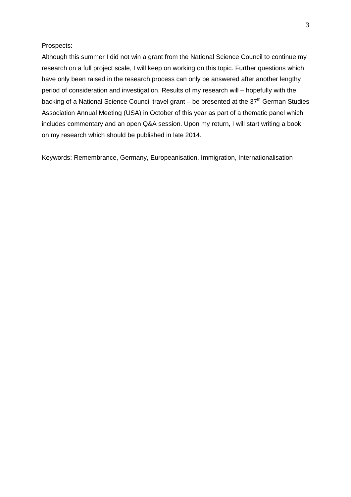## Prospects:

Although this summer I did not win a grant from the National Science Council to continue my research on a full project scale, I will keep on working on this topic. Further questions which have only been raised in the research process can only be answered after another lengthy period of consideration and investigation. Results of my research will – hopefully with the backing of a National Science Council travel grant – be presented at the  $37<sup>th</sup>$  German Studies Association Annual Meeting (USA) in October of this year as part of a thematic panel which includes commentary and an open Q&A session. Upon my return, I will start writing a book on my research which should be published in late 2014.

Keywords: Remembrance, Germany, Europeanisation, Immigration, Internationalisation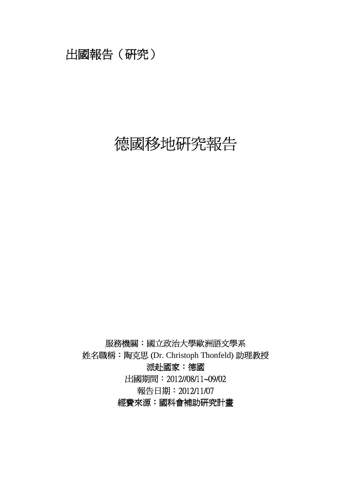## 出國報告(研究)

# 德國移地研究報告

服務機關:國立政治大學歐洲語文學系 姓名職稱: 陶克思 (Dr. Christoph Thonfeld) 助理教授 派赴國家:德國 出國期間:2012//08/11~09/02 報告日期:2012/11/07 經費來源:國科會補助研究計畫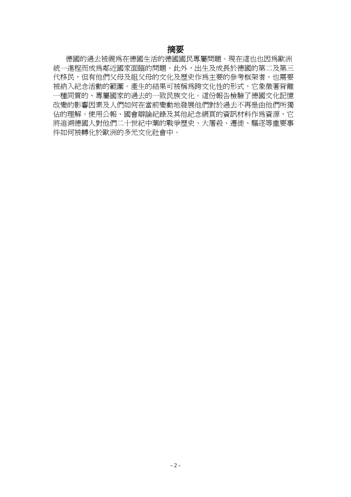## 摘要

德國的過去被視為在德國生活的德國國民專屬問題。現在這也也因為歐洲 統一淮程而成為鄰近國家面臨的問題。此外,出生及成長於德國的第二及第三 代移民,但有他們父母及祖父母的文化及歷史作為主要的參考框架者,也需要 被納入紀念活動的範圍。產生的結果可被稱為跨文化性的形式,它象徵著背離 一種同質的、專屬國家的過去的一致民族文化。這份報告檢驗了德國文化記憶 改變的影響因素及人們如何在當前變動地發展他們對於過去不再是由他們所獨 佔的理解。使用公報、國會辯論紀錄及其他紀念網頁的資訊材料作為資源,它 將追溯德國人對他們二十世紀中葉的戰爭歷史、大屠殺、遷徙、驅逐等重要事 件如何被轉化於歐洲的多元文化社會中。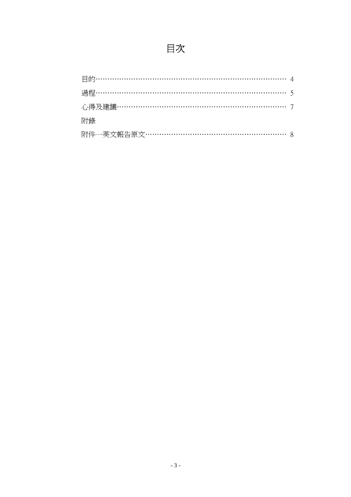# 目次

| 附錄                              |  |
|---------------------------------|--|
| 附件一英文報告原文…………………………………………………… 8 |  |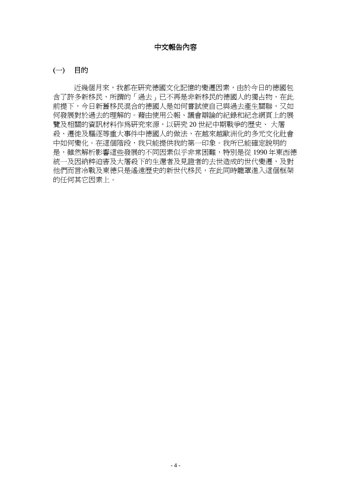## 中文報告內容

## (一) 目的

近幾個月來,我都在研究德國文化記憶的變遷因素,由於今日的德國包 含了許多新移民,所謂的「過去」已不再是非新移民的德國人的獨占物,在此 前提下,今日新舊移民混合的德國人是如何嘗試使自己與過去產生關聯,又如 何發展對於過去的理解的。藉由使用公報、議會辯論的紀錄和紀念網頁上的展 覽及相關的資訊材料作為研究來源,以研究 20 世紀中期戰爭的歷史、 大屠 殺、遷徙及驅逐等重大事件中德國人的做法,在越來越歐洲化的多元文化社會 中如何變化。在這個階段,我只能提供我的第一印象。我所已能確定說明的 是,雖然解析影響這些發展的不同因素似乎非常困難,特別是從 1990 年東西德 統一及因納粹迫害及大屠殺下的生還者及見證者的去世造成的世代變遷,及對 他們而言冷戰及東德只是遙遠歷史的新世代移民,在此同時籠罩進入這個框架 的任何其它因素上。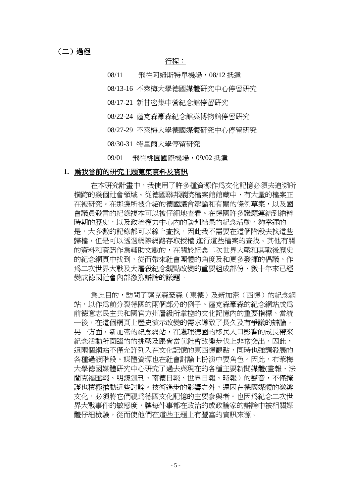## (二)過程

## 行程:

08/11 飛往阿姆斯特單機場,08/12 抵達

08/13-16 不萊梅大學德國媒體研究中心停留研究

- 08/17-21 新甘密集中營紀念館停留研究
- 08/22-24 薩克森豪森紀念館與博物館停留研究
- 08/27-29 不萊梅大學德國媒體研究中心停留研究
- 08/30-31 特里爾大學停留研究
- 09/01 飛往桃園國際機場,09/02 抵達

#### **1.** 為我當前的研究主題蒐集資料及資訊

在本研究計畫中,我使用了許多種資源作為文化記憶必須去追溯所 橫跨的幾個社會領域。從德國聯邦議院檔案館館藏中,有大量的檔案正 在被研究。在那邊所被介紹的德國議會辯論和有關的條例草案,以及國 會議員發言的紀錄複本可以被仔細地查看。在德國許多議題連結到納粹 時期的歷史,以及政治權力中心內的談判結果的紀念活動。夠幸運的 是,大多數的記錄都可以線上查找,因此我不需要在這個階段去找這些 歸檔,但是可以透過網際網路存取授權 進行這些檔案的查找。其他有關 的資料和資訊作為輔助文獻的,在關於紀念二次世界大戰和其戰後歷史 的紀念網頁中找到,從而帶來社會團體的角度及和更多發揮的倡議。作 為二次世界大戰及大屠殺紀念觀點改變的重要組成部份,數十年來已經 變成德國社會內部激烈辯論的議題。

為此目的,訪問了薩克森豪森(東德)及新加密(西德)的紀念網 站,以作為前分裂德國的兩個部分的例子。薩克森豪森的紀念網站成為 前德意志民主共和國官方州層級所掌控的文化記憶內的重要指標。當統 一後,在這個網頁上歷史演示改變的需求導致了長久及有爭議的辯論。 另一方面,新加密的紀念網站,在處理德國的移民人口影響的成長帶來 紀念活動所面臨的的挑戰及跟尙當前社會改變步伐上非常突出。因此, 這兩個網站不僅允許列入在文化記憶的東西德觀點,同時也強調發展的 各種過渡階段。媒體資源也在社會討論上扮演中要角色。因此,布萊梅 大學德國媒體研究中心研究了過去與現在的各種主要新聞媒體(畫報、法 蘭克福匯報、明鏡週刊、南德日報、世界日報、時報)的聲音,不僅掩 護也積極推動這些討論。技術進步的影響之外,還因在德國媒體的激辯 文化,必須將它們視爲德國文化記憶的主要參與者。也因爲紀念二次世 界大戰事件的敏感度,讓每件事都在政治的或政論家的辯論中被相關媒 體仔細檢驗,從而使他們在這些主題上有豐富的資訊來源。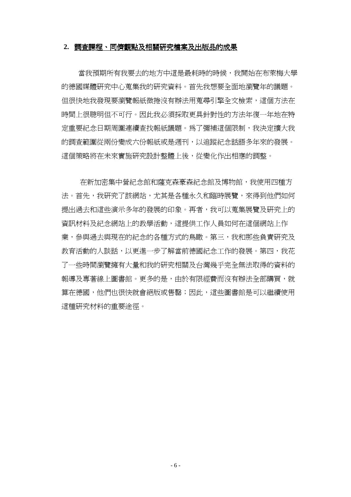#### 2. 調査課程、同儕觀點及相關研究檔案及出版品的成果

當我預期所有我要去的地方中這是最耗時的時候,我開始在布萊梅大學 的德國媒體研究中心蒐集我的研究資料。首先我想要全面地瀏覽年的議題。 但很快地我發現要瀏覽報紙微捲沒有辦法用蒐尋引擎全文檢索,這個方法在 時間上很聰明但不可行。因此我必須採取更具針對性的方法年復一年地在特 定重要紀念日期周圍連續查找報紙議題。為了彌補這個限制,我決定擴大我 的調查範圍從兩份變成六份報紙或是週刊,以追蹤紀念話語多年來的發展。 這個策略將在未來實施研究設計整體上後,從變化作出相應的調整。

在新加密集中營紀念館和薩克森豪森紀念館及博物館,我使用四種方 法。首先,我研究了該網站,尤其是各種永久和臨時展覽,來得到他們如何 提出過去和這些演示多年的發展的印象。再者,我可以蒐集展覽及研究上的 資訊材料及紀念網站上的教學活動,這提供工作人員如何在這個網站上作 業,參與渦去與現在的紀念的各種方式的鳥瞰。第三,我和那些負責研究及 教育活動的人談話,以更進一步了解當前德國紀念工作的發展。第四,我花 了一些時間瀏覽擁有大量和我的研究相關及台灣幾乎完全無法取得的資料的 報導及專著線上圖書館。更多的是,由於有限經費而沒有辦法全部購買,就 算在德國,他們也很快就會絕版或售罄;因此,這些圖書館是可以繼續使用 這種研究材料的重要途徑。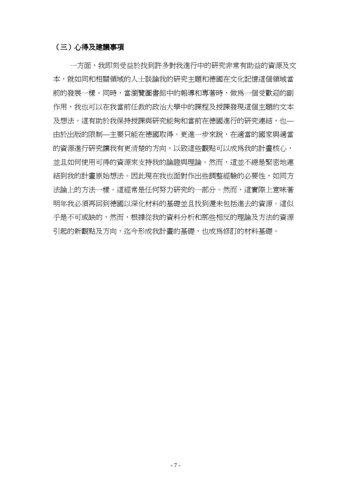## (三)心得及建議事項

一方面,我即刻受益於找到許多對我進行中的研究非常有助益的資源及文 本,就如同和相關領域的人士談論我的研究主題和德國在文化記憶這個領域當 前的發展一樣。同時,當瀏覽圖書館中的報導和專著時,做為一個受歡迎的副 作用,我也可以在我當前任教的政治大學中的課程及授課發現這個主題的文本 及想法。這有助於我保持授課與研究能夠和當前在德國淮行的研究連結,也— 由於出版的限制—主要只能在德國取得。更進一步來說,在適當的國家與適當 的資源進行研究讓我有更清楚的方向,以致這些觀點可以成為我的計書核心, 並且如何使用可得的資源來支持我的論證與理論。然而,這並不總是緊密地連 結到我的計畫原始想法。因此現在我也面對作出些調整經驗的必要性,如同方 法論上的方法一樣。這經常是任何努力研究的一部分。然而,這實際上意味著 明年我必須再回到德國以深化材料的基礎並且找到還未包括進去的資源。這似 乎是不可或缺的,然而,根據從我的資料分析和那些相反的理論及方法的資源 引起的新觀點及方向,迄今形成我計書的基礎,也成為修訂的材料基礎。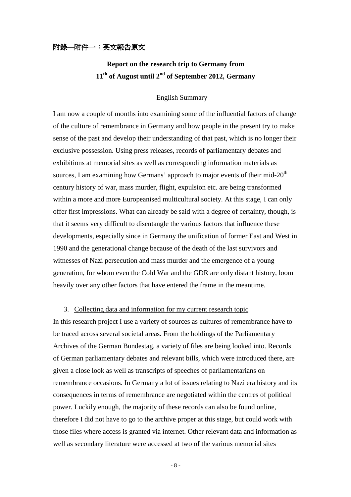## 附錄**—**附件一:英文報告原文

## **Report on the research trip to Germany from 11th of August until 2nd of September 2012, Germany**

## English Summary

I am now a couple of months into examining some of the influential factors of change of the culture of remembrance in Germany and how people in the present try to make sense of the past and develop their understanding of that past, which is no longer their exclusive possession. Using press releases, records of parliamentary debates and exhibitions at memorial sites as well as corresponding information materials as sources, I am examining how Germans' approach to major events of their mid- $20<sup>th</sup>$ century history of war, mass murder, flight, expulsion etc. are being transformed within a more and more Europeanised multicultural society. At this stage, I can only offer first impressions. What can already be said with a degree of certainty, though, is that it seems very difficult to disentangle the various factors that influence these developments, especially since in Germany the unification of former East and West in 1990 and the generational change because of the death of the last survivors and witnesses of Nazi persecution and mass murder and the emergence of a young generation, for whom even the Cold War and the GDR are only distant history, loom heavily over any other factors that have entered the frame in the meantime.

## 3. Collecting data and information for my current research topic

In this research project I use a variety of sources as cultures of remembrance have to be traced across several societal areas. From the holdings of the Parliamentary Archives of the German Bundestag, a variety of files are being looked into. Records of German parliamentary debates and relevant bills, which were introduced there, are given a close look as well as transcripts of speeches of parliamentarians on remembrance occasions. In Germany a lot of issues relating to Nazi era history and its consequences in terms of remembrance are negotiated within the centres of political power. Luckily enough, the majority of these records can also be found online, therefore I did not have to go to the archive proper at this stage, but could work with those files where access is granted via internet. Other relevant data and information as well as secondary literature were accessed at two of the various memorial sites

- 8 -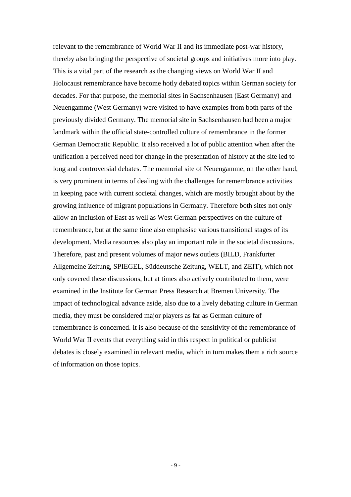relevant to the remembrance of World War II and its immediate post-war history, thereby also bringing the perspective of societal groups and initiatives more into play. This is a vital part of the research as the changing views on World War II and Holocaust remembrance have become hotly debated topics within German society for decades. For that purpose, the memorial sites in Sachsenhausen (East Germany) and Neuengamme (West Germany) were visited to have examples from both parts of the previously divided Germany. The memorial site in Sachsenhausen had been a major landmark within the official state-controlled culture of remembrance in the former German Democratic Republic. It also received a lot of public attention when after the unification a perceived need for change in the presentation of history at the site led to long and controversial debates. The memorial site of Neuengamme, on the other hand, is very prominent in terms of dealing with the challenges for remembrance activities in keeping pace with current societal changes, which are mostly brought about by the growing influence of migrant populations in Germany. Therefore both sites not only allow an inclusion of East as well as West German perspectives on the culture of remembrance, but at the same time also emphasise various transitional stages of its development. Media resources also play an important role in the societal discussions. Therefore, past and present volumes of major news outlets (BILD, Frankfurter Allgemeine Zeitung, SPIEGEL, Süddeutsche Zeitung, WELT, and ZEIT), which not only covered these discussions, but at times also actively contributed to them, were examined in the Institute for German Press Research at Bremen University. The impact of technological advance aside, also due to a lively debating culture in German media, they must be considered major players as far as German culture of remembrance is concerned. It is also because of the sensitivity of the remembrance of World War II events that everything said in this respect in political or publicist debates is closely examined in relevant media, which in turn makes them a rich source of information on those topics.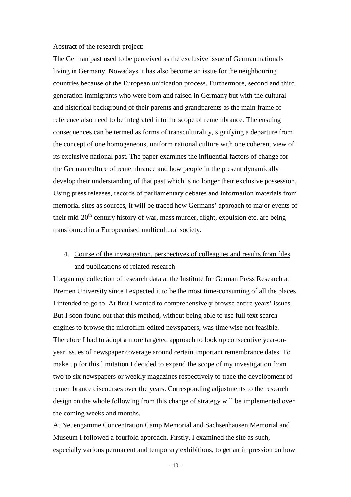#### Abstract of the research project:

The German past used to be perceived as the exclusive issue of German nationals living in Germany. Nowadays it has also become an issue for the neighbouring countries because of the European unification process. Furthermore, second and third generation immigrants who were born and raised in Germany but with the cultural and historical background of their parents and grandparents as the main frame of reference also need to be integrated into the scope of remembrance. The ensuing consequences can be termed as forms of transculturality, signifying a departure from the concept of one homogeneous, uniform national culture with one coherent view of its exclusive national past. The paper examines the influential factors of change for the German culture of remembrance and how people in the present dynamically develop their understanding of that past which is no longer their exclusive possession. Using press releases, records of parliamentary debates and information materials from memorial sites as sources, it will be traced how Germans' approach to major events of their mid-20<sup>th</sup> century history of war, mass murder, flight, expulsion etc. are being transformed in a Europeanised multicultural society.

## 4. Course of the investigation, perspectives of colleagues and results from files and publications of related research

I began my collection of research data at the Institute for German Press Research at Bremen University since I expected it to be the most time-consuming of all the places I intended to go to. At first I wanted to comprehensively browse entire years' issues. But I soon found out that this method, without being able to use full text search engines to browse the microfilm-edited newspapers, was time wise not feasible. Therefore I had to adopt a more targeted approach to look up consecutive year-onyear issues of newspaper coverage around certain important remembrance dates. To make up for this limitation I decided to expand the scope of my investigation from two to six newspapers or weekly magazines respectively to trace the development of remembrance discourses over the years. Corresponding adjustments to the research design on the whole following from this change of strategy will be implemented over the coming weeks and months.

At Neuengamme Concentration Camp Memorial and Sachsenhausen Memorial and Museum I followed a fourfold approach. Firstly, I examined the site as such, especially various permanent and temporary exhibitions, to get an impression on how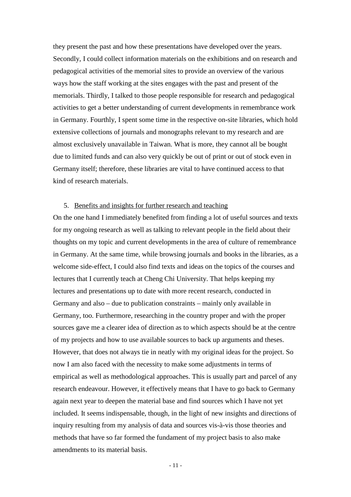they present the past and how these presentations have developed over the years. Secondly, I could collect information materials on the exhibitions and on research and pedagogical activities of the memorial sites to provide an overview of the various ways how the staff working at the sites engages with the past and present of the memorials. Thirdly, I talked to those people responsible for research and pedagogical activities to get a better understanding of current developments in remembrance work in Germany. Fourthly, I spent some time in the respective on-site libraries, which hold extensive collections of journals and monographs relevant to my research and are almost exclusively unavailable in Taiwan. What is more, they cannot all be bought due to limited funds and can also very quickly be out of print or out of stock even in Germany itself; therefore, these libraries are vital to have continued access to that kind of research materials.

## 5. Benefits and insights for further research and teaching

On the one hand I immediately benefited from finding a lot of useful sources and texts for my ongoing research as well as talking to relevant people in the field about their thoughts on my topic and current developments in the area of culture of remembrance in Germany. At the same time, while browsing journals and books in the libraries, as a welcome side-effect, I could also find texts and ideas on the topics of the courses and lectures that I currently teach at Cheng Chi University. That helps keeping my lectures and presentations up to date with more recent research, conducted in Germany and also – due to publication constraints – mainly only available in Germany, too. Furthermore, researching in the country proper and with the proper sources gave me a clearer idea of direction as to which aspects should be at the centre of my projects and how to use available sources to back up arguments and theses. However, that does not always tie in neatly with my original ideas for the project. So now I am also faced with the necessity to make some adjustments in terms of empirical as well as methodological approaches. This is usually part and parcel of any research endeavour. However, it effectively means that I have to go back to Germany again next year to deepen the material base and find sources which I have not yet included. It seems indispensable, though, in the light of new insights and directions of inquiry resulting from my analysis of data and sources vis-à-vis those theories and methods that have so far formed the fundament of my project basis to also make amendments to its material basis.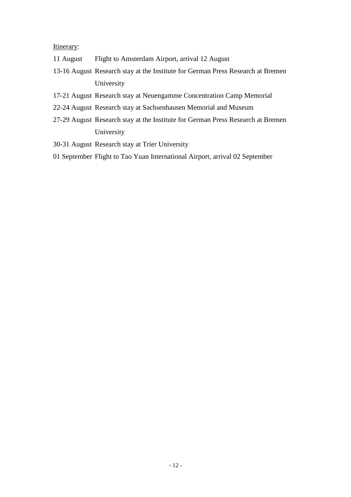Itinerary:

- 11 August Flight to Amsterdam Airport, arrival 12 August
- 13-16 August Research stay at the Institute for German Press Research at Bremen University
- 17-21 August Research stay at Neuengamme Concentration Camp Memorial
- 22-24 August Research stay at Sachsenhausen Memorial and Museum
- 27-29 August Research stay at the Institute for German Press Research at Bremen University
- 30-31 August Research stay at Trier University
- 01 September Flight to Tao Yuan International Airport, arrival 02 September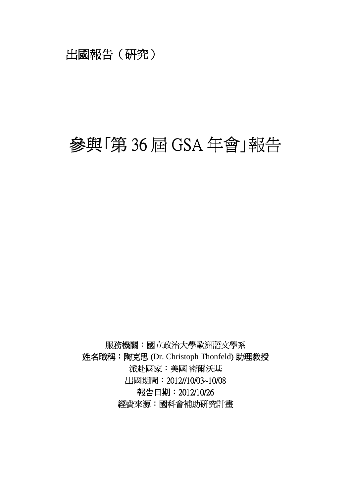## 出國報告(研究)

# 參與「第 36 屆 GSA 年會」報告

服務機關:國立政治大學歐洲語文學系 姓名職稱: 陶克思 (Dr. Christoph Thonfeld) 助理教授 派赴國家:美國密爾沃基 出國期間:2012//10/03~10/08 報告日期:2012/10/26 經費來源:國科會補助研究計畫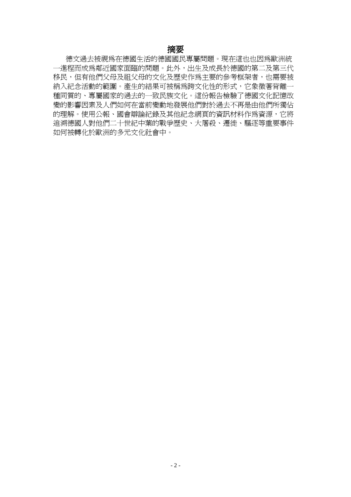## 摘要

德文過去被視為在德國生活的德國國民專屬問題。現在這也也因為歐洲統 一進程而成為鄰近國家面臨的問題。此外,出生及成長於德國的第二及第三代 移民,但有他們父母及祖父母的文化及歷史作為主要的參考框架者,也需要被 納入紀念活動的範圍。產生的結果可被稱為跨文化性的形式,它象徵著背離一 種同質的、專屬國家的過去的一致民族文化。這份報告檢驗了德國文化記憶改 變的影響因素及人們如何在當前變動地發展他們對於過去不再是由他們所獨佔 的理解。使用公報、國會辯論紀錄及其他紀念網頁的資訊材料作為資源,它將 追溯德國人對他們二十世紀中葉的戰爭歷史、大屠殺、遷徙、驅逐等重要事件 如何被轉化於歐洲的多元文化社會中。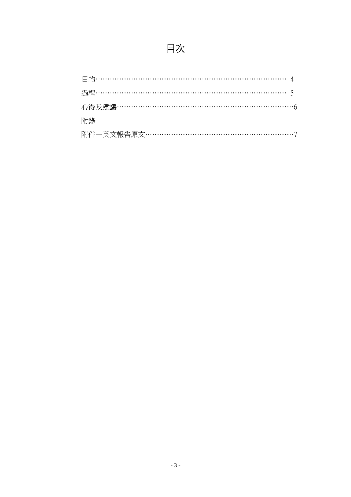# 目次

| 附錄 |  |
|----|--|
|    |  |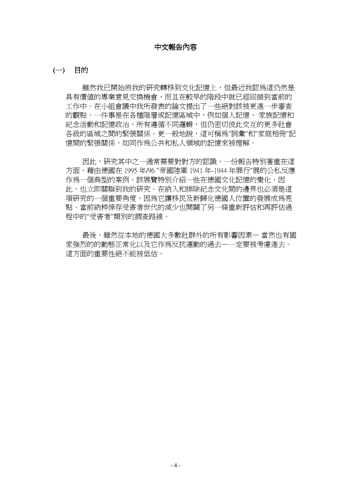## 中文報告內容

## (一) 目的

雖然我已開始將我的研究轉移到文化記憶上,但最近我認為這仍然是 具有價值的專業意見交換機會,而且在較早的階段中就已經回饋到當前的 工作中。在小組會議中我所發表的論文提出了一些絕對該被更進一步審查 的觀點。一件事是在各種階層或記憶區域中,例如個人記憶、 家族記憶和 紀念活動和記憶政治,所有遵循不同邏輯,但仍密切彼此交互的更多社會 各級的區域之間的緊張關係。更一般地說,這可稱為"詞彙"和"家庭相冊"記 憶間的緊張關係,如同作為公共和私人領域的記憶來被理解。

因此,研究其中之一通常需要對對方的認識。一份報告特別著重在這 方面,藉由德國在 1995 年/96 "帝國陸軍 1941 年-1944 年罪行"展的公私反應 作為一個典型的案例。該展覽特別介紹一些在德國文化記憶的變化,因 此,也立即關聯到我的研究。在納入和排除紀念文化間的邊界也必須是這 項研究的一個重要角度,因為它讓移民及新歸化德國人位置的發展成為亮 點。當前納粹倖存受害者世代的減少也開闢了另一條重新評估和再評估過 程中的"受害者"類別的調查路線。

最後,雖然從本地的德國大多數社群外的所有影響因素— 當然也有國 家強烈的的動態正常化以及它作為反抗運動的過去—一定要被考慮進去。 這方面的重要性絕不能被低估。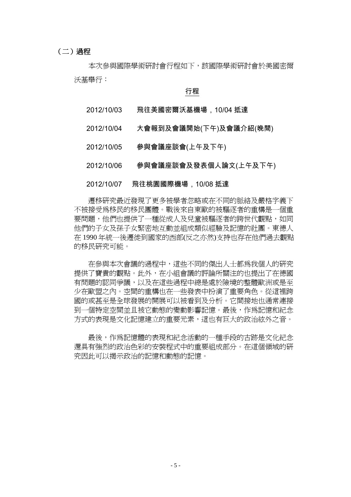## (二)過程

本次參與國際學術研討會行程如下,該國際學術研討會於美國密爾 沃基舉行:

## 行程

- 2012/10/03 飛往美國密爾沃基機場,10/04 抵達
- 2012/10/04 大會報到及會議開始(下午)及會議介紹(晚間)
- 2012/10/05 參與會議座談會(上午及下午)
- 2012/10/06 參與會議座談會及發表個人論文(上午及下午)

## 2012/10/07 飛往桃園國際機場,10/08 抵達

遷移研究最近發現了更多被學者忽略或在不同的脈絡及嚴格字義下 不被接受為移民的移民團體。戰後來自東歐的被驅逐者的重構是一個重 要問題,他們也提供了一種從成人及兒童被驅逐者的跨世代觀點,如同 他們的子女及孫子女緊密地互動並組成類似經驗及記憶的社團。東德人 在 1990 年統一後遷徙到國家的西部(反之亦然)支持也存在他們過去觀點 的移民研究可能。

在參與本次會議的過程中,這些不同的傑出人士都為我個人的研究 提供了寶貴的觀點。此外,在小組會議的評論所關注的也提出了在德國 有問題的認同爭議,以及在這些過程中總是處於險境的整體歐洲或是至 少在歐盟之內。空間的重構也在一些發表中扮演了重要角色。從這裡跨 國的或甚至是全球發展的開展可以被看到及分析。它間接地也通常連接 到一個特定空間並且被它動態的變動影響記憶。最後,作為記憶和紀念 方式的表現是文化記憶建立的重要元素,這也有巨大的政治絃外之音。

最後,作爲記憶體的表現和紀念活動的一種手段的古跡是文化紀念 還具有強烈的政治色彩的安裝程式中的重要組成部分。在這個領域的研 究因此可以揭示政治的記憶和動態的記憶。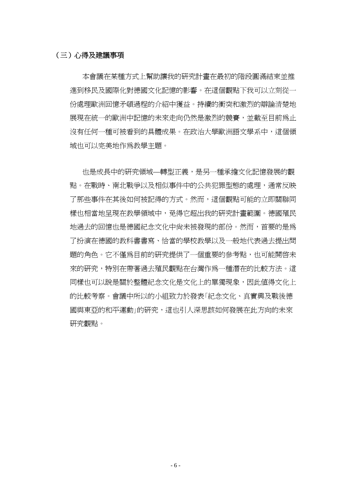## (三)心得及建議事項

本會議在某種方式上幫助讓我的研究計畫在最初的階段圓滿結束並推 進到移民及國際化對德國文化記憶的影響。在這個觀點下我可以立刻從一 份處理歐洲回憶矛頓過程的介紹中獲益。持續的衝突和激烈的辯論清楚地 展現在統一的歐洲中記憶的未來走向仍然是激烈的競賽,並截至目前為止 沒有任何一種可被看到的具體成果。在政治大學歐洲語文學系中,這個領 域也可以完美地作為教學主題。

也是成長中的研究領域—轉型正義,是另一種承擔文化記憶發展的觀 點。在戰時、南北戰爭以及相似事件中的公共犯罪型態的處理,通常反映 了那些事件在其後如何被記得的方式。然而,這個觀點可能的立即關聯同 樣也相當地呈現在教學領域中,免得它超出我的研究計畫範圍。德國殖民 地過去的回憶也是德國紀念文化中尚未被發現的部份。然而,首要的是為 了扮演在德國的教科書書寫、恰當的學校教學以及一般地代表過去提出問 題的角色。它不僅為目前的研究提供了一個重要的參考點,也可能開啓未 來的研究,特別在帶著渦夫殖民觀點在台灣作爲一種潛在的比較方法。這 同樣也可以說是關於整體紀念文化是文化上的單獨現象,因此值得文化上 的比較考察。會議中所以的小組致力於發表「紀念文化、真實興及戰後德 國與東亞的和平運動」的研究,這也引人深思該如何發展在此方向的未來 研究觀點。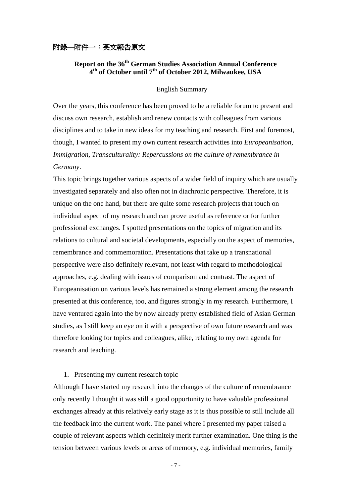## 附錄**—**附件一:英文報告原文

## **Report on the 36th German Studies Association Annual Conference 4 th of October until 7th of October 2012, Milwaukee, USA**

#### English Summary

Over the years, this conference has been proved to be a reliable forum to present and discuss own research, establish and renew contacts with colleagues from various disciplines and to take in new ideas for my teaching and research. First and foremost, though, I wanted to present my own current research activities into *Europeanisation, Immigration, Transculturality: Repercussions on the culture of remembrance in Germany*.

This topic brings together various aspects of a wider field of inquiry which are usually investigated separately and also often not in diachronic perspective. Therefore, it is unique on the one hand, but there are quite some research projects that touch on individual aspect of my research and can prove useful as reference or for further professional exchanges. I spotted presentations on the topics of migration and its relations to cultural and societal developments, especially on the aspect of memories, remembrance and commemoration. Presentations that take up a transnational perspective were also definitely relevant, not least with regard to methodological approaches, e.g. dealing with issues of comparison and contrast. The aspect of Europeanisation on various levels has remained a strong element among the research presented at this conference, too, and figures strongly in my research. Furthermore, I have ventured again into the by now already pretty established field of Asian German studies, as I still keep an eye on it with a perspective of own future research and was therefore looking for topics and colleagues, alike, relating to my own agenda for research and teaching.

## 1. Presenting my current research topic

Although I have started my research into the changes of the culture of remembrance only recently I thought it was still a good opportunity to have valuable professional exchanges already at this relatively early stage as it is thus possible to still include all the feedback into the current work. The panel where I presented my paper raised a couple of relevant aspects which definitely merit further examination. One thing is the tension between various levels or areas of memory, e.g. individual memories, family

- 7 -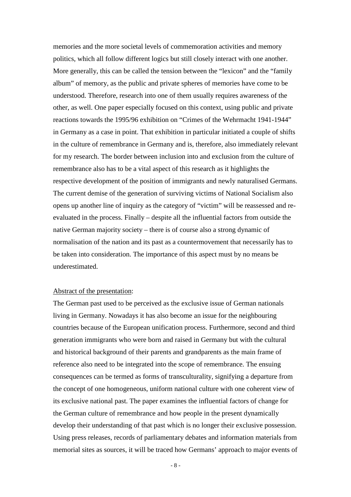memories and the more societal levels of commemoration activities and memory politics, which all follow different logics but still closely interact with one another. More generally, this can be called the tension between the "lexicon" and the "family album" of memory, as the public and private spheres of memories have come to be understood. Therefore, research into one of them usually requires awareness of the other, as well. One paper especially focused on this context, using public and private reactions towards the 1995/96 exhibition on "Crimes of the Wehrmacht 1941-1944" in Germany as a case in point. That exhibition in particular initiated a couple of shifts in the culture of remembrance in Germany and is, therefore, also immediately relevant for my research. The border between inclusion into and exclusion from the culture of remembrance also has to be a vital aspect of this research as it highlights the respective development of the position of immigrants and newly naturalised Germans. The current demise of the generation of surviving victims of National Socialism also opens up another line of inquiry as the category of "victim" will be reassessed and reevaluated in the process. Finally – despite all the influential factors from outside the native German majority society – there is of course also a strong dynamic of normalisation of the nation and its past as a countermovement that necessarily has to be taken into consideration. The importance of this aspect must by no means be underestimated.

## Abstract of the presentation:

The German past used to be perceived as the exclusive issue of German nationals living in Germany. Nowadays it has also become an issue for the neighbouring countries because of the European unification process. Furthermore, second and third generation immigrants who were born and raised in Germany but with the cultural and historical background of their parents and grandparents as the main frame of reference also need to be integrated into the scope of remembrance. The ensuing consequences can be termed as forms of transculturality, signifying a departure from the concept of one homogeneous, uniform national culture with one coherent view of its exclusive national past. The paper examines the influential factors of change for the German culture of remembrance and how people in the present dynamically develop their understanding of that past which is no longer their exclusive possession. Using press releases, records of parliamentary debates and information materials from memorial sites as sources, it will be traced how Germans' approach to major events of

- 8 -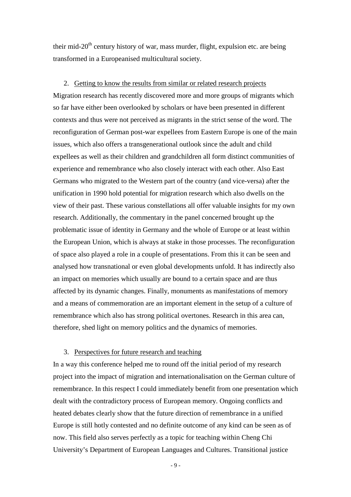their mid- $20<sup>th</sup>$  century history of war, mass murder, flight, expulsion etc. are being transformed in a Europeanised multicultural society.

#### 2. Getting to know the results from similar or related research projects

Migration research has recently discovered more and more groups of migrants which so far have either been overlooked by scholars or have been presented in different contexts and thus were not perceived as migrants in the strict sense of the word. The reconfiguration of German post-war expellees from Eastern Europe is one of the main issues, which also offers a transgenerational outlook since the adult and child expellees as well as their children and grandchildren all form distinct communities of experience and remembrance who also closely interact with each other. Also East Germans who migrated to the Western part of the country (and vice-versa) after the unification in 1990 hold potential for migration research which also dwells on the view of their past. These various constellations all offer valuable insights for my own research. Additionally, the commentary in the panel concerned brought up the problematic issue of identity in Germany and the whole of Europe or at least within the European Union, which is always at stake in those processes. The reconfiguration of space also played a role in a couple of presentations. From this it can be seen and analysed how transnational or even global developments unfold. It has indirectly also an impact on memories which usually are bound to a certain space and are thus affected by its dynamic changes. Finally, monuments as manifestations of memory and a means of commemoration are an important element in the setup of a culture of remembrance which also has strong political overtones. Research in this area can, therefore, shed light on memory politics and the dynamics of memories.

## 3. Perspectives for future research and teaching

In a way this conference helped me to round off the initial period of my research project into the impact of migration and internationalisation on the German culture of remembrance. In this respect I could immediately benefit from one presentation which dealt with the contradictory process of European memory. Ongoing conflicts and heated debates clearly show that the future direction of remembrance in a unified Europe is still hotly contested and no definite outcome of any kind can be seen as of now. This field also serves perfectly as a topic for teaching within Cheng Chi University's Department of European Languages and Cultures. Transitional justice

- 9 -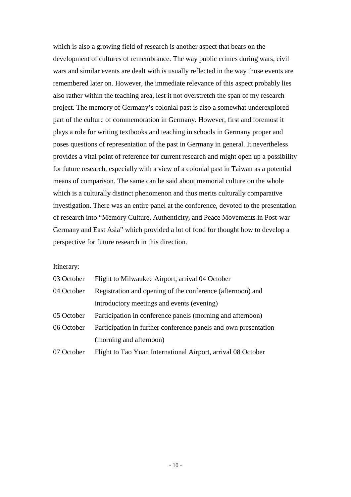which is also a growing field of research is another aspect that bears on the development of cultures of remembrance. The way public crimes during wars, civil wars and similar events are dealt with is usually reflected in the way those events are remembered later on. However, the immediate relevance of this aspect probably lies also rather within the teaching area, lest it not overstretch the span of my research project. The memory of Germany's colonial past is also a somewhat underexplored part of the culture of commemoration in Germany. However, first and foremost it plays a role for writing textbooks and teaching in schools in Germany proper and poses questions of representation of the past in Germany in general. It nevertheless provides a vital point of reference for current research and might open up a possibility for future research, especially with a view of a colonial past in Taiwan as a potential means of comparison. The same can be said about memorial culture on the whole which is a culturally distinct phenomenon and thus merits culturally comparative investigation. There was an entire panel at the conference, devoted to the presentation of research into "Memory Culture, Authenticity, and Peace Movements in Post-war Germany and East Asia" which provided a lot of food for thought how to develop a perspective for future research in this direction.

#### Itinerary:

| 03 October                                                               | Flight to Milwaukee Airport, arrival 04 October                 |  |
|--------------------------------------------------------------------------|-----------------------------------------------------------------|--|
| Registration and opening of the conference (afternoon) and<br>04 October |                                                                 |  |
|                                                                          | introductory meetings and events (evening)                      |  |
| 05 October                                                               | Participation in conference panels (morning and afternoon)      |  |
| 06 October                                                               | Participation in further conference panels and own presentation |  |
|                                                                          | (morning and afternoon)                                         |  |
| 07 October                                                               | Flight to Tao Yuan International Airport, arrival 08 October    |  |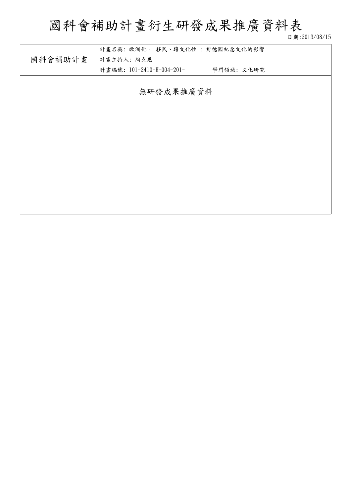# 國科會補助計畫衍生研發成果推廣資料表

日期:2013/08/15

|         |                              |           | 日 期:ZUI 0/ UO/ I 0 |
|---------|------------------------------|-----------|--------------------|
|         | 計畫名稱:歐洲化、 移民、跨文化性:對德國紀念文化的影響 |           |                    |
| 國科會補助計畫 | 計畫主持人: 陶克思                   |           |                    |
|         | 計畫編號: 101-2410-H-004-201-    | 學門領域:文化研究 |                    |
|         |                              |           |                    |
|         | 無研發成果推廣資料                    |           |                    |
|         |                              |           |                    |
|         |                              |           |                    |
|         |                              |           |                    |
|         |                              |           |                    |
|         |                              |           |                    |
|         |                              |           |                    |
|         |                              |           |                    |
|         |                              |           |                    |
|         |                              |           |                    |
|         |                              |           |                    |
|         |                              |           |                    |
|         |                              |           |                    |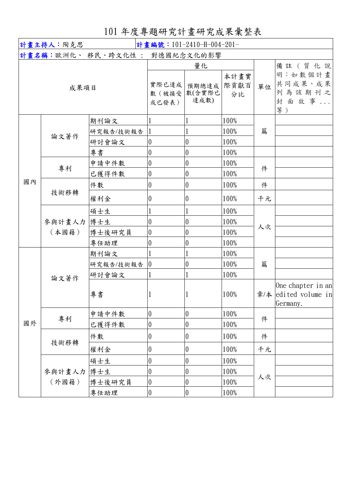## 101 年度專題研究計畫研究成果彙整表

| 計畫主持人:陶克思<br>計畫編號: 101-2410-H-004-201- |                 |                                |                       |                    |      |                                         |                                                   |
|----------------------------------------|-----------------|--------------------------------|-----------------------|--------------------|------|-----------------------------------------|---------------------------------------------------|
|                                        |                 | 計畫名稱:歐洲化、 移民、跨文化性 : 對德國紀念文化的影響 |                       |                    |      |                                         |                                                   |
| 成果項目                                   |                 | 實際已達成<br>數(被接受                 | 量化<br>預期總達成<br>數(含實際已 | 本計畫實<br>際貢獻百<br>分比 | 單位   | 備註 (質化說<br>明:如數個計畫<br>共同成果、成果<br>列為該期刊之 |                                                   |
|                                        |                 |                                | 或已發表)                 | 達成數)               |      |                                         | 封面故事<br>等)                                        |
|                                        |                 | 期刊論文                           |                       |                    | 100% |                                         |                                                   |
|                                        | 論文著作            | 研究報告/技術報告                      |                       |                    | 100% | 篇                                       |                                                   |
|                                        |                 | 研討會論文                          | 0                     | 0                  | 100% |                                         |                                                   |
|                                        |                 | 專書                             | $\theta$              | $\overline{0}$     | 100% |                                         |                                                   |
|                                        | 專利              | 申請中件數                          | 0                     | 0                  | 100% | 件                                       |                                                   |
|                                        |                 | 已獲得件數                          | $\boldsymbol{0}$      | $\overline{0}$     | 100% |                                         |                                                   |
| 國內                                     |                 | 件數                             | 0                     | 0                  | 100% | 件                                       |                                                   |
|                                        | 技術移轉            | 權利金                            | $\boldsymbol{0}$      | $\theta$           | 100% | 千元                                      |                                                   |
|                                        | 參與計畫人力<br>(本國籍) | 碩士生                            |                       |                    | 100% |                                         |                                                   |
|                                        |                 | 博士生                            | 0                     | 0                  | 100% |                                         |                                                   |
|                                        |                 | 博士後研究員                         | 0                     | $\theta$           | 100% | 人次                                      |                                                   |
|                                        |                 | 專任助理                           | 0                     | $\theta$           | 100% |                                         |                                                   |
|                                        | 論文著作            | 期刊論文                           |                       |                    | 100% |                                         |                                                   |
|                                        |                 | 研究報告/技術報告                      | $\overline{0}$        | $\theta$           | 100% | 篇                                       |                                                   |
|                                        |                 | 研討會論文                          |                       |                    | 100% |                                         |                                                   |
|                                        |                 | 專書                             |                       |                    | 100% | 章/本                                     | One chapter in an<br>edited volume in<br>Germany. |
|                                        | 專利              | 申請中件數                          | 0                     | $\overline{0}$     | 100% |                                         |                                                   |
| 國外                                     |                 | 已獲得件數                          | 0                     | 0                  | 100% | 件                                       |                                                   |
|                                        | 技術移轉            | 件數                             | 0                     | 0                  | 100% | 件                                       |                                                   |
|                                        |                 | 權利金                            | 0                     | 0                  | 100% | 千元                                      |                                                   |
|                                        | 參與計畫人力<br>(外國籍) | 碩士生                            | 0                     | 0                  | 100% |                                         |                                                   |
|                                        |                 | 博士生                            | 0                     | 0                  | 100% |                                         |                                                   |
|                                        |                 | 博士後研究員                         | $\boldsymbol{0}$      | 0                  | 100% | 人次                                      |                                                   |
|                                        |                 | 專任助理                           | 0                     | $\overline{0}$     | 100% |                                         |                                                   |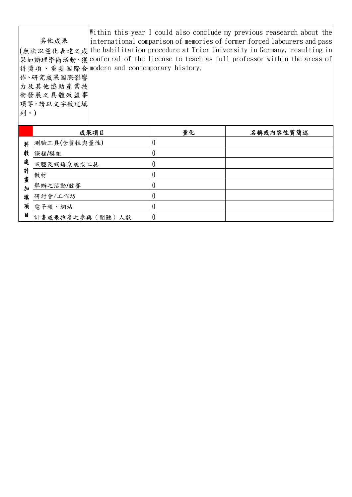其他成果 (無法以量化表達之成 the habilitation procedure at Trier University in Germany, resulting in| 果如辦理學術活動、獲 conferral of the license to teach as full professor within the areas of 得獎項、重要國際合 modern and contemporary history. 作、研究成果國際影響 力及其他協助產業技 術發展之具體效益事 項等,請以文字敘述填 列。) Within this year I could also conclude my previous reasearch about the international comparison of memories of former forced labourers and pass

|        | 成果項目            | 量化 | 名稱或內容性質簡述 |
|--------|-----------------|----|-----------|
| 科      | 測驗工具(含質性與量性)    |    |           |
| 教      | 課程/模組           |    |           |
| 處      | 電腦及網路系統或工具      |    |           |
| 計      | 教材              |    |           |
| 畫<br>加 | 舉辦之活動/競賽        |    |           |
| 填      | 研討會/工作坊         |    |           |
| 項      | 電子報、網站          |    |           |
| 目      | 計畫成果推廣之參與(閱聽)人數 |    |           |